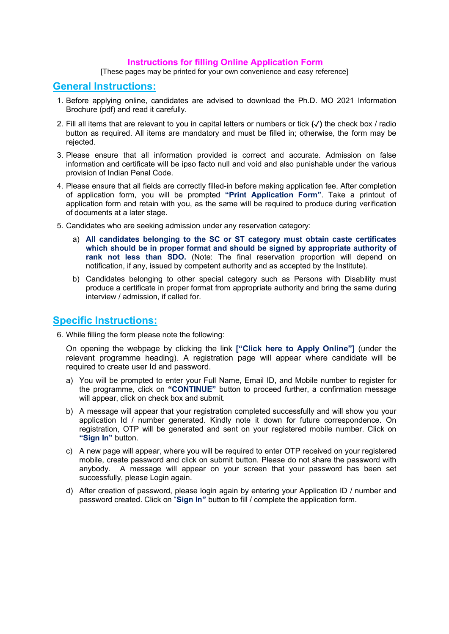## Instructions for filling Online Application Form

[These pages may be printed for your own convenience and easy reference]

## General Instructions:

- 1. Before applying online, candidates are advised to download the Ph.D. MO 2021 Information Brochure (pdf) and read it carefully.
- 2. Fill all items that are relevant to you in capital letters or numbers or tick (✓) the check box / radio button as required. All items are mandatory and must be filled in; otherwise, the form may be rejected.
- 3. Please ensure that all information provided is correct and accurate. Admission on false information and certificate will be ipso facto null and void and also punishable under the various provision of Indian Penal Code.
- 4. Please ensure that all fields are correctly filled-in before making application fee. After completion of application form, you will be prompted "Print Application Form". Take a printout of application form and retain with you, as the same will be required to produce during verification of documents at a later stage.
- 5. Candidates who are seeking admission under any reservation category:
	- a) All candidates belonging to the SC or ST category must obtain caste certificates which should be in proper format and should be signed by appropriate authority of rank not less than SDO. (Note: The final reservation proportion will depend on notification, if any, issued by competent authority and as accepted by the Institute).
	- b) Candidates belonging to other special category such as Persons with Disability must produce a certificate in proper format from appropriate authority and bring the same during interview / admission, if called for.

## Specific Instructions:

6. While filling the form please note the following:

On opening the webpage by clicking the link ["Click here to Apply Online"] (under the relevant programme heading). A registration page will appear where candidate will be required to create user Id and password.

- a) You will be prompted to enter your Full Name, Email ID, and Mobile number to register for the programme, click on "CONTINUE" button to proceed further, a confirmation message will appear, click on check box and submit.
- b) A message will appear that your registration completed successfully and will show you your application Id / number generated. Kindly note it down for future correspondence. On registration, OTP will be generated and sent on your registered mobile number. Click on "Sign In" button.
- c) A new page will appear, where you will be required to enter OTP received on your registered mobile, create password and click on submit button. Please do not share the password with anybody. A message will appear on your screen that your password has been set successfully, please Login again.
- d) After creation of password, please login again by entering your Application ID / number and password created. Click on "Sign In" button to fill / complete the application form.